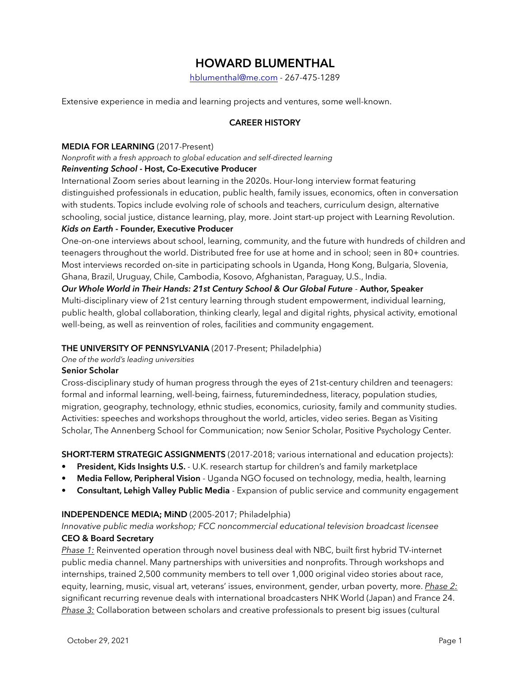# **HOWARD BLUMENTHAL**

[hblumenthal@me.com](mailto:hblumenthal@me.com) - 267-475-1289

Extensive experience in media and learning projects and ventures, some well-known.

## **CAREER HISTORY**

#### **MEDIA FOR LEARNING** (2017-Present)

*Nonprofit with a fresh approach to global education and self-directed learning*

#### *Reinventing School* **- Host, Co-Executive Producer**

International Zoom series about learning in the 2020s. Hour-long interview format featuring distinguished professionals in education, public health, family issues, economics, often in conversation with students. Topics include evolving role of schools and teachers, curriculum design, alternative schooling, social justice, distance learning, play, more. Joint start-up project with Learning Revolution.

## *Kids on Earth* **- Founder, Executive Producer**

One-on-one interviews about school, learning, community, and the future with hundreds of children and teenagers throughout the world. Distributed free for use at home and in school; seen in 80+ countries. Most interviews recorded on-site in participating schools in Uganda, Hong Kong, Bulgaria, Slovenia, Ghana, Brazil, Uruguay, Chile, Cambodia, Kosovo, Afghanistan, Paraguay, U.S., India.

*Our Whole World in Their Hands: 21st Century School & Our Global Future* - **Author, Speaker** Multi-disciplinary view of 21st century learning through student empowerment, individual learning, public health, global collaboration, thinking clearly, legal and digital rights, physical activity, emotional well-being, as well as reinvention of roles, facilities and community engagement.

#### **THE UNIVERSITY OF PENNSYLVANIA** (2017-Present; Philadelphia)

*One of the world's leading universities*

#### **Senior Scholar**

Cross-disciplinary study of human progress through the eyes of 21st-century children and teenagers: formal and informal learning, well-being, fairness, futuremindedness, literacy, population studies, migration, geography, technology, ethnic studies, economics, curiosity, family and community studies. Activities: speeches and workshops throughout the world, articles, video series. Began as Visiting Scholar, The Annenberg School for Communication; now Senior Scholar, Positive Psychology Center.

**SHORT-TERM STRATEGIC ASSIGNMENTS** (2017-2018; various international and education projects):

- **• President, Kids Insights U.S.**  U.K. research startup for children's and family marketplace
- **• Media Fellow, Peripheral Vision**  Uganda NGO focused on technology, media, health, learning
- **• Consultant, Lehigh Valley Public Media**  Expansion of public service and community engagement

#### **INDEPENDENCE MEDIA; MiND** (2005-2017; Philadelphia)

*Innovative public media workshop; FCC noncommercial educational television broadcast licensee* **CEO & Board Secretary**

*Phase 1:* Reinvented operation through novel business deal with NBC, built first hybrid TV-internet public media channel. Many partnerships with universities and nonprofits. Through workshops and internships, trained 2,500 community members to tell over 1,000 original video stories about race, equity, learning, music, visual art, veterans' issues, environment, gender, urban poverty, more. *Phase 2:* significant recurring revenue deals with international broadcasters NHK World (Japan) and France 24. *Phase 3:* Collaboration between scholars and creative professionals to present big issues (cultural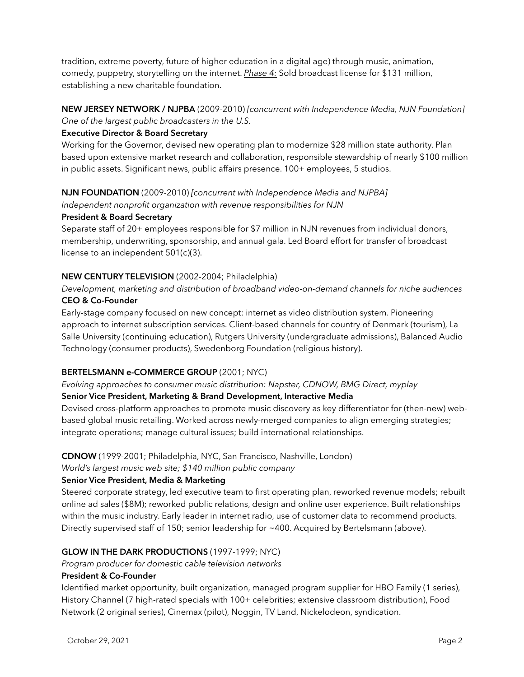tradition, extreme poverty, future of higher education in a digital age) through music, animation, comedy, puppetry, storytelling on the internet. *Phase 4:* Sold broadcast license for \$131 million, establishing a new charitable foundation.

## **NEW JERSEY NETWORK / NJPBA** (2009-2010) *[concurrent with Independence Media, NJN Foundation] One of the largest public broadcasters in the U.S.*

## **Executive Director & Board Secretary**

Working for the Governor, devised new operating plan to modernize \$28 million state authority. Plan based upon extensive market research and collaboration, responsible stewardship of nearly \$100 million in public assets. Significant news, public affairs presence. 100+ employees, 5 studios.

#### **NJN FOUNDATION** (2009-2010) *[concurrent with Independence Media and NJPBA] Independent nonprofit organization with revenue responsibilities for NJN*

# **President & Board Secretary**

Separate staff of 20+ employees responsible for \$7 million in NJN revenues from individual donors, membership, underwriting, sponsorship, and annual gala. Led Board effort for transfer of broadcast license to an independent 501(c)(3).

## **NEW CENTURY TELEVISION** (2002-2004; Philadelphia)

## *Development, marketing and distribution of broadband video-on-demand channels for niche audiences* **CEO & Co-Founder**

Early-stage company focused on new concept: internet as video distribution system. Pioneering approach to internet subscription services. Client-based channels for country of Denmark (tourism), La Salle University (continuing education), Rutgers University (undergraduate admissions), Balanced Audio Technology (consumer products), Swedenborg Foundation (religious history).

## **BERTELSMANN e-COMMERCE GROUP** (2001; NYC)

*Evolving approaches to consumer music distribution: Napster, CDNOW, BMG Direct, myplay*

## **Senior Vice President, Marketing & Brand Development, Interactive Media**

Devised cross-platform approaches to promote music discovery as key differentiator for (then-new) webbased global music retailing. Worked across newly-merged companies to align emerging strategies; integrate operations; manage cultural issues; build international relationships.

#### **CDNOW** (1999-2001; Philadelphia, NYC, San Francisco, Nashville, London)

*World's largest music web site; \$140 million public company*

## **Senior Vice President, Media & Marketing**

Steered corporate strategy, led executive team to first operating plan, reworked revenue models; rebuilt online ad sales (\$8M); reworked public relations, design and online user experience. Built relationships within the music industry. Early leader in internet radio, use of customer data to recommend products. Directly supervised staff of 150; senior leadership for ~400. Acquired by Bertelsmann (above).

## **GLOW IN THE DARK PRODUCTIONS** (1997-1999; NYC)

*Program producer for domestic cable television networks*

#### **President & Co-Founder**

Identified market opportunity, built organization, managed program supplier for HBO Family (1 series), History Channel (7 high-rated specials with 100+ celebrities; extensive classroom distribution), Food Network (2 original series), Cinemax (pilot), Noggin, TV Land, Nickelodeon, syndication.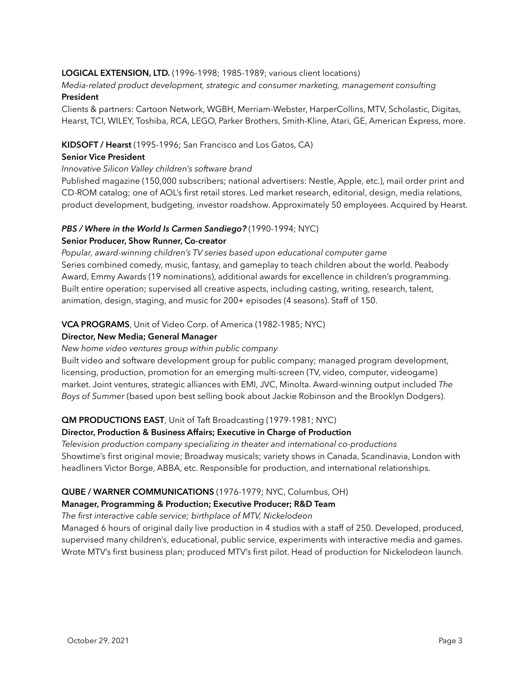## **LOGICAL EXTENSION, LTD.** (1996-1998; 1985-1989; various client locations)

*Media-related product development, strategic and consumer marketing, management consulting* **President**

Clients & partners: Cartoon Network, WGBH, Merriam-Webster, HarperCollins, MTV, Scholastic, Digitas, Hearst, TCI, WILEY, Toshiba, RCA, LEGO, Parker Brothers, Smith-Kline, Atari, GE, American Express, more.

#### **KIDSOFT / Hearst** (1995-1996; San Francisco and Los Gatos, CA)

#### **Senior Vice President**

#### *Innovative Silicon Valley children's software brand*

Published magazine (150,000 subscribers; national advertisers: Nestle, Apple, etc.), mail order print and CD-ROM catalog; one of AOL's first retail stores. Led market research, editorial, design, media relations, product development, budgeting, investor roadshow. Approximately 50 employees. Acquired by Hearst.

## *PBS / Where in the World Is Carmen Sandiego?* (1990-1994; NYC)

#### **Senior Producer, Show Runner, Co-creator**

*Popular, award-winning children's TV series based upon educational computer game* Series combined comedy, music, fantasy, and gameplay to teach children about the world. Peabody Award, Emmy Awards (19 nominations), additional awards for excellence in children's programming. Built entire operation; supervised all creative aspects, including casting, writing, research, talent, animation, design, staging, and music for 200+ episodes (4 seasons). Staff of 150.

#### **VCA PROGRAMS**, Unit of Video Corp. of America (1982-1985; NYC)

#### **Director, New Media; General Manager**

#### *New home video ventures group within public company*

Built video and software development group for public company; managed program development, licensing, production, promotion for an emerging multi-screen (TV, video, computer, videogame) market. Joint ventures, strategic alliances with EMI, JVC, Minolta. Award-winning output included *The Boys of Summer* (based upon best selling book about Jackie Robinson and the Brooklyn Dodgers).

#### **QM PRODUCTIONS EAST**, Unit of Taft Broadcasting (1979-1981; NYC)

#### **Director, Production & Business Affairs; Executive in Charge of Production**

*Television production company specializing in theater and international co-productions* Showtime's first original movie; Broadway musicals; variety shows in Canada, Scandinavia, London with headliners Victor Borge, ABBA, etc. Responsible for production, and international relationships.

#### **QUBE / WARNER COMMUNICATIONS** (1976-1979; NYC, Columbus, OH)

#### **Manager, Programming & Production; Executive Producer; R&D Team**

#### *The first interactive cable service; birthplace of MTV, Nickelodeon*

Managed 6 hours of original daily live production in 4 studios with a staff of 250. Developed, produced, supervised many children's, educational, public service, experiments with interactive media and games. Wrote MTV's first business plan; produced MTV's first pilot. Head of production for Nickelodeon launch.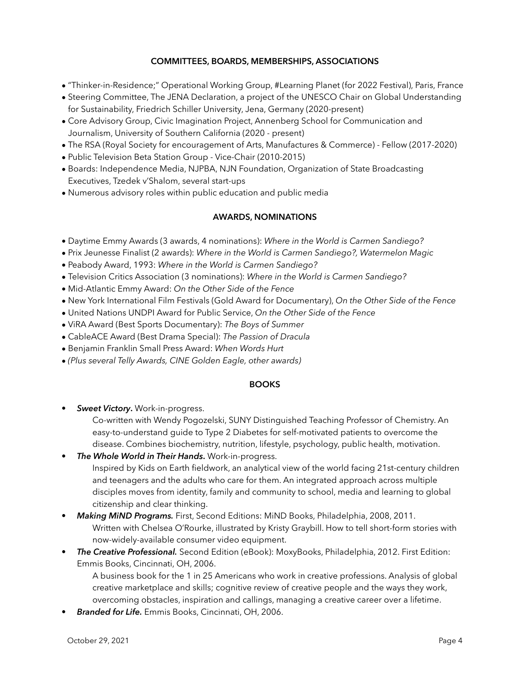## **COMMITTEES, BOARDS, MEMBERSHIPS, ASSOCIATIONS**

- "Thinker-in-Residence;" Operational Working Group, #Learning Planet (for 2022 Festival), Paris, France
- Steering Committee, The JENA Declaration, a project of the UNESCO Chair on Global Understanding for Sustainability, Friedrich Schiller University, Jena, Germany (2020-present)
- Core Advisory Group, Civic Imagination Project, Annenberg School for Communication and Journalism, University of Southern California (2020 - present)
- The RSA (Royal Society for encouragement of Arts, Manufactures & Commerce) Fellow (2017-2020)
- Public Television Beta Station Group Vice-Chair (2010-2015)
- Boards: Independence Media, NJPBA, NJN Foundation, Organization of State Broadcasting Executives, Tzedek v'Shalom, several start-ups
- Numerous advisory roles within public education and public media

## **AWARDS, NOMINATIONS**

- Daytime Emmy Awards (3 awards, 4 nominations): *Where in the World is Carmen Sandiego?*
- Prix Jeunesse Finalist (2 awards): *Where in the World is Carmen Sandiego?, Watermelon Magic*
- Peabody Award, 1993: *Where in the World is Carmen Sandiego?*
- Television Critics Association (3 nominations): *Where in the World is Carmen Sandiego?*
- Mid-Atlantic Emmy Award: *On the Other Side of the Fence*
- New York International Film Festivals (Gold Award for Documentary), *On the Other Side of the Fence*
- United Nations UNDPI Award for Public Service, *On the Other Side of the Fence*
- ViRA Award (Best Sports Documentary): *The Boys of Summer*
- CableACE Award (Best Drama Special): *The Passion of Dracula*
- Benjamin Franklin Small Press Award: *When Words Hurt*
- *(Plus several Telly Awards, CINE Golden Eagle, other awards)*

#### **BOOKS**

• *Sweet Victory***.** Work-in-progress.

Co-written with Wendy Pogozelski, SUNY Distinguished Teaching Professor of Chemistry. An easy-to-understand guide to Type 2 Diabetes for self-motivated patients to overcome the disease. Combines biochemistry, nutrition, lifestyle, psychology, public health, motivation.

- *The Whole World in Their Hands***.** Work-in-progress. Inspired by Kids on Earth fieldwork, an analytical view of the world facing 21st-century children and teenagers and the adults who care for them. An integrated approach across multiple disciples moves from identity, family and community to school, media and learning to global citizenship and clear thinking.
- *Making MiND Programs.* First, Second Editions: MiND Books, Philadelphia, 2008, 2011. Written with Chelsea O'Rourke, illustrated by Kristy Graybill. How to tell short-form stories with now-widely-available consumer video equipment.
- *The Creative Professional.* Second Edition (eBook): MoxyBooks, Philadelphia, 2012. First Edition: Emmis Books, Cincinnati, OH, 2006.

A business book for the 1 in 25 Americans who work in creative professions. Analysis of global creative marketplace and skills; cognitive review of creative people and the ways they work, overcoming obstacles, inspiration and callings, managing a creative career over a lifetime.

• *Branded for Life.* Emmis Books, Cincinnati, OH, 2006.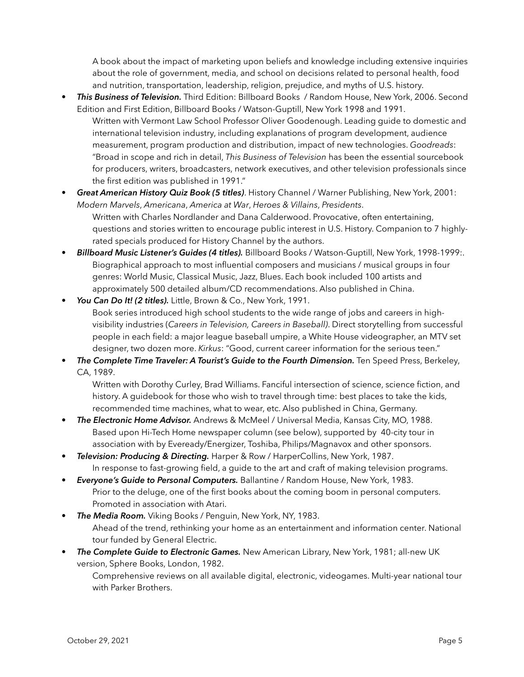A book about the impact of marketing upon beliefs and knowledge including extensive inquiries about the role of government, media, and school on decisions related to personal health, food and nutrition, transportation, leadership, religion, prejudice, and myths of U.S. history.

- *This Business of Television.* Third Edition: Billboard Books / Random House, New York, 2006. Second Edition and First Edition, Billboard Books / Watson-Guptill, New York 1998 and 1991. Written with Vermont Law School Professor Oliver Goodenough. Leading guide to domestic and international television industry, including explanations of program development, audience measurement, program production and distribution, impact of new technologies. *Goodreads*: "Broad in scope and rich in detail, *This Business of Television* has been the essential sourcebook for producers, writers, broadcasters, network executives, and other television professionals since the first edition was published in 1991."
- *Great American History Quiz Book (5 titles)*. History Channel / Warner Publishing, New York, 2001: *Modern Marvels*, *Americana*, *America at War*, *Heroes & Villains*, *Presidents*. Written with Charles Nordlander and Dana Calderwood. Provocative, often entertaining,

questions and stories written to encourage public interest in U.S. History. Companion to 7 highlyrated specials produced for History Channel by the authors.

- *Billboard Music Listener's Guides (4 titles).* Billboard Books / Watson-Guptill, New York, 1998-1999:. Biographical approach to most influential composers and musicians / musical groups in four genres: World Music, Classical Music, Jazz, Blues. Each book included 100 artists and approximately 500 detailed album/CD recommendations. Also published in China.
- *You Can Do It! (2 titles).* Little, Brown & Co., New York, 1991. Book series introduced high school students to the wide range of jobs and careers in highvisibility industries (*Careers in Television, Careers in Baseball)*. Direct storytelling from successful people in each field: a major league baseball umpire, a White House videographer, an MTV set designer, two dozen more. *Kirkus*: "Good, current career information for the serious teen."
- *The Complete Time Traveler: A Tourist's Guide to the Fourth Dimension.* Ten Speed Press, Berkeley, CA, 1989.

Written with Dorothy Curley, Brad Williams. Fanciful intersection of science, science fiction, and history. A guidebook for those who wish to travel through time: best places to take the kids, recommended time machines, what to wear, etc. Also published in China, Germany.

- *The Electronic Home Advisor.* Andrews & McMeel / Universal Media, Kansas City, MO, 1988. Based upon Hi-Tech Home newspaper column (see below), supported by 40-city tour in association with by Eveready/Energizer, Toshiba, Philips/Magnavox and other sponsors.
- *Television: Producing & Directing.* Harper & Row / HarperCollins, New York, 1987. In response to fast-growing field, a guide to the art and craft of making television programs.
- *Everyone's Guide to Personal Computers.* Ballantine / Random House, New York, 1983. Prior to the deluge, one of the first books about the coming boom in personal computers. Promoted in association with Atari.
- *The Media Room.* Viking Books / Penguin, New York, NY, 1983. Ahead of the trend, rethinking your home as an entertainment and information center. National tour funded by General Electric.
- *The Complete Guide to Electronic Games.* New American Library, New York, 1981; all-new UK version, Sphere Books, London, 1982.

Comprehensive reviews on all available digital, electronic, videogames. Multi-year national tour with Parker Brothers.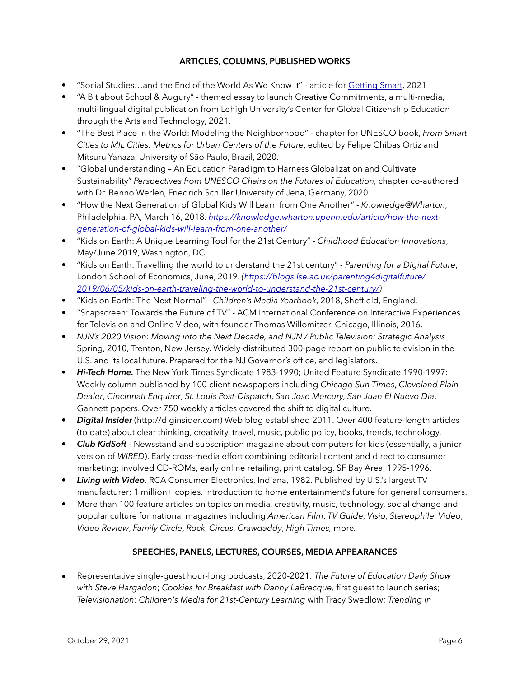## **ARTICLES, COLUMNS, PUBLISHED WORKS**

- "Social Studies…and the End of the World As We Know It" article for [Getting Smart](https://www.gettingsmart.com/2021/10/07/social-studiesand-the-end-of-the-world-as-we-know-it/), 2021
- "A Bit about School & Augury" themed essay to launch Creative Commitments, a multi-media, multi-lingual digital publication from Lehigh University's Center for Global Citizenship Education through the Arts and Technology, 2021.
- "The Best Place in the World: Modeling the Neighborhood" chapter for UNESCO book, *From Smart Cities to MIL Cities: Metrics for Urban Centers of the Future*, edited by Felipe Chibas Ortiz and Mitsuru Yanaza, University of Sāo Paulo, Brazil, 2020.
- "Global understanding An Education Paradigm to Harness Globalization and Cultivate Sustainability" *Perspectives from UNESCO Chairs on the Futures of Education,* chapter co-authored with Dr. Benno Werlen, Friedrich Schiller University of Jena, Germany, 2020.
- "How the Next Generation of Global Kids Will Learn from One Another" *Knowledge@Wharton*, Philadelphia, PA, March 16, 2018. *[https://knowledge.wharton.upenn.edu/article/how-the-next](https://knowledge.wharton.upenn.edu/article/how-the-next-generation-of-global-kids-will-learn-from-one-another/)[generation-of-global-kids-will-learn-from-one-another/](https://knowledge.wharton.upenn.edu/article/how-the-next-generation-of-global-kids-will-learn-from-one-another/)*
- "Kids on Earth: A Unique Learning Tool for the 21st Century" *Childhood Education Innovations*, May/June 2019, Washington, DC.
- "Kids on Earth: Travelling the world to understand the 21st century" *Parenting for a Digital Future*, London School of Economics, June, 2019. *[\(https://blogs.lse.ac.uk/parenting4digitalfuture/](https://blogs.lse.ac.uk/parenting4digitalfuture/2019/06/05/kids-on-earth-traveling-the-world-to-understand-the-21st-century/) [2019/06/05/kids-on-earth-traveling-the-world-to-understand-the-21st-century/](https://blogs.lse.ac.uk/parenting4digitalfuture/2019/06/05/kids-on-earth-traveling-the-world-to-understand-the-21st-century/))*
- "Kids on Earth: The Next Normal" *Children's Media Yearbook*, 2018, Sheffield, England.
- "Snapscreen: Towards the Future of TV" ACM International Conference on Interactive Experiences for Television and Online Video, with founder Thomas Willomitzer. Chicago, Illinois, 2016.
- *NJN's 2020 Vision: Moving into the Next Decade, and NJN / Public Television: Strategic Analysis* Spring, 2010, Trenton, New Jersey. Widely-distributed 300-page report on public television in the U.S. and its local future. Prepared for the NJ Governor's office, and legislators.
- *Hi-Tech Home.* The New York Times Syndicate 1983-1990; United Feature Syndicate 1990-1997: Weekly column published by 100 client newspapers including *Chicago Sun-Times*, *Cleveland Plain-Dealer*, *Cincinnati Enquirer*, *St. Louis Post-Dispatch*, *San Jose Mercury, San Juan El Nuevo Día*, Gannett papers. Over 750 weekly articles covered the shift to digital culture.
- *Digital Insider* (http://diginsider.com) Web blog established 2011. Over 400 feature-length articles (to date) about clear thinking, creativity, travel, music, public policy, books, trends, technology.
- *Club KidSoft* Newsstand and subscription magazine about computers for kids (essentially, a junior version of *WIRED*). Early cross-media effort combining editorial content and direct to consumer marketing; involved CD-ROMs, early online retailing, print catalog. SF Bay Area, 1995-1996.
- *Living with Video.* RCA Consumer Electronics, Indiana, 1982. Published by U.S.'s largest TV manufacturer; 1 million+ copies. Introduction to home entertainment's future for general consumers.
- More than 100 feature articles on topics on media, creativity, music, technology, social change and popular culture for national magazines including *American Film*, *TV Guide*, *Visio*, *Stereophile*, *Video*, *Video Review*, *Family Circle*, *Rock*, *Circus*, *Crawdaddy*, *High Times,* more*.*

## **SPEECHES, PANELS, LECTURES, COURSES, MEDIA APPEARANCES**

• Representative single-guest hour-long podcasts, 2020-2021: *The Future of Education Daily Show with Steve Hargadon*; *[Cookies for Breakfast with Danny LaBrecque](https://www.youtube.com/watch?v=nKTSJ5OZdvg&pp=sAQA),* first guest to launch series; *[Televisionation: Children's Media for 21st-Century Learning](https://thetvoftomorrowshow.com/video/televisionation-%E2%80%9Cwhere-world-carmen-sandiego%E2%80%9D-creator-howard-blumenthal)* with [Tracy Swedlow;](https://thetvoftomorrowshow.com/video/televisionation-%E2%80%9Cwhere-world-carmen-sandiego%E2%80%9D-creator-howard-blumenthal) *[Trending in](https://trendingineducation.com/2020/11/reinventing-school/)*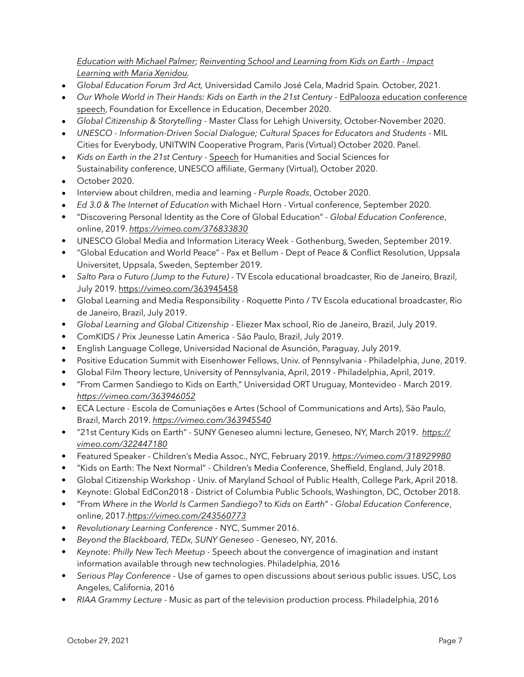*Education [with Michael Palmer](https://trendingineducation.com/2020/11/reinventing-school/)*; *[Reinventing School and Learning from Kids on Earth - Impact](https://podcasts.apple.com/us/podcast/impact-learning/id1454411367?i=1000486566259)  [Learning with Maria Xenidou.](https://podcasts.apple.com/us/podcast/impact-learning/id1454411367?i=1000486566259)*

- *Global Education Forum 3rd Act,* Universidad Camilo José Cela, Madrid Spain*.* October, 2021.
- *Our Whole World in Their Hands: Kids on Earth in the 21st Century* [EdPalooza education conference](https://vimeo.com/488329080)  [speech](https://vimeo.com/488329080), Foundation for Excellence in Education, December 2020.
- *Global Citizenship & Storytelling* Master Class for Lehigh University, October-November 2020.
- *UNESCO Information-Driven Social Dialogue; Cultural Spaces for Educators and Students* MIL Cities for Everybody, UNITWIN Cooperative Program, Paris (Virtual) October 2020. Panel.
- *Kids on Earth in the 21st Century* [Speech](https://vimeo.com/488229804) for Humanities and Social Sciences for Sustainability conference, UNESCO affiliate, Germany (Virtual), October 2020.
- October 2020.
- Interview about children, media and learning - *[Purple Roads](https://youtu.be/vAe1gmuz8MA)*, October 2020.
- *Ed 3.0 & The Internet of Education* with Michael Horn Virtual conference, September 2020.
- "Discovering Personal Identity as the Core of Global Education" *Global Education Conference*, online, 2019. *<https://vimeo.com/376833830>*
- UNESCO Global Media and Information Literacy Week Gothenburg, Sweden, September 2019.
- "Global Education and World Peace" Pax et Bellum Dept of Peace & Conflict Resolution, Uppsala Universitet, Uppsala, Sweden, September 2019.
- *Salto Para o Futuro (Jump to the Future)* TV Escola educational broadcaster, Rio de Janeiro, Brazil, July 2019. <https://vimeo.com/363945458>
- Global Learning and Media Responsibility Roquette Pinto / TV Escola educational broadcaster, Rio de Janeiro, Brazil, July 2019.
- *Global Learning and Global Citizenship* Eliezer Max school, Rio de Janeiro, Brazil, July 2019.
- ComKIDS / Prix Jeunesse Latin America Sāo Paulo, Brazil, July 2019.
- English Language College, Universidad Nacional de Asunción, Paraguay, July 2019.
- Positive Education Summit with Eisenhower Fellows, Univ. of Pennsylvania Philadelphia, June, 2019.
- Global Film Theory lecture, University of Pennsylvania, April, 2019 Philadelphia, April, 2019.
- "From Carmen Sandiego to Kids on Earth," Universidad ORT Uruguay, Montevideo March 2019. *<https://vimeo.com/363946052>*
- ECA Lecture Escola de Comuniações e Artes (School of Communications and Arts), Sāo Paulo, Brazil, March 2019. *<https://vimeo.com/363945540>*
- "21st Century Kids on Earth" SUNY Geneseo alumni lecture, Geneseo, NY, March 2019. *[https://](https://vimeo.com/322447180) [vimeo.com/322447180](https://vimeo.com/322447180)*
- Featured Speaker Children's Media Assoc., NYC, February 2019. *<https://vimeo.com/318929980>*
- "Kids on Earth: The Next Normal" Children's Media Conference, Sheffield, England, July 2018.
- Global Citizenship Workshop Univ. of Maryland School of Public Health, College Park, April 2018.
- Keynote: Global EdCon2018 District of Columbia Public Schools, Washington, DC, October 2018.
- "From *Where in the World Is Carmen Sandiego?* to *Kids on Earth*" *Global Education Conference*, online, 2017.*<https://vimeo.com/243560773>*
- *Revolutionary Learning Conference* NYC, Summer 2016.
- *Beyond the Blackboard, TEDx, SUNY Geneseo* Geneseo, NY, 2016.
- *Keynote: Philly New Tech Meetup* Speech about the convergence of imagination and instant information available through new technologies. Philadelphia, 2016
- *Serious Play Conference* Use of games to open discussions about serious public issues. USC, Los Angeles, California, 2016
- *RIAA Grammy Lecture Music as part of the television production process. Philadelphia, 2016*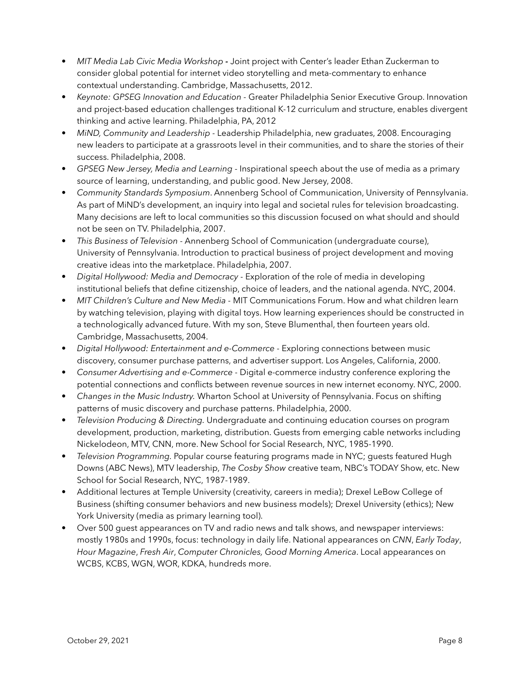- *MIT Media Lab Civic Media Workshop* Joint project with Center's leader Ethan Zuckerman to consider global potential for internet video storytelling and meta-commentary to enhance contextual understanding. Cambridge, Massachusetts, 2012.
- *Keynote: GPSEG Innovation and Education* Greater Philadelphia Senior Executive Group. Innovation and project-based education challenges traditional K-12 curriculum and structure, enables divergent thinking and active learning. Philadelphia, PA, 2012
- *MiND, Community and Leadership* Leadership Philadelphia, new graduates, 2008. Encouraging new leaders to participate at a grassroots level in their communities, and to share the stories of their success. Philadelphia, 2008.
- *GPSEG New Jersey, Media and Learning* Inspirational speech about the use of media as a primary source of learning, understanding, and public good. New Jersey, 2008.
- *Community Standards Symposium*. Annenberg School of Communication, University of Pennsylvania. As part of MiND's development, an inquiry into legal and societal rules for television broadcasting. Many decisions are left to local communities so this discussion focused on what should and should not be seen on TV. Philadelphia, 2007.
- *This Business of Television -* Annenberg School of Communication (undergraduate course), University of Pennsylvania. Introduction to practical business of project development and moving creative ideas into the marketplace. Philadelphia, 2007.
- *Digital Hollywood: Media and Democracy* Exploration of the role of media in developing institutional beliefs that define citizenship, choice of leaders, and the national agenda. NYC, 2004.
- *MIT Children's Culture and New Media* MIT Communications Forum. How and what children learn by watching television, playing with digital toys. How learning experiences should be constructed in a technologically advanced future. With my son, Steve Blumenthal, then fourteen years old. Cambridge, Massachusetts, 2004.
- *Digital Hollywood: Entertainment and e-Commerce Exploring connections between music* discovery, consumer purchase patterns, and advertiser support. Los Angeles, California, 2000.
- *Consumer Advertising and e-Commerce* Digital e-commerce industry conference exploring the potential connections and conflicts between revenue sources in new internet economy. NYC, 2000.
- *Changes in the Music Industry.* Wharton School at University of Pennsylvania. Focus on shifting patterns of music discovery and purchase patterns. Philadelphia, 2000.
- *Television Producing & Directing.* Undergraduate and continuing education courses on program development, production, marketing, distribution. Guests from emerging cable networks including Nickelodeon, MTV, CNN, more. New School for Social Research, NYC, 1985-1990.
- *Television Programming.* Popular course featuring programs made in NYC; guests featured Hugh Downs (ABC News), MTV leadership, *The Cosby Show* creative team, NBC's TODAY Show, etc. New School for Social Research, NYC, 1987-1989.
- Additional lectures at Temple University (creativity, careers in media); Drexel LeBow College of Business (shifting consumer behaviors and new business models); Drexel University (ethics); New York University (media as primary learning tool).
- Over 500 guest appearances on TV and radio news and talk shows, and newspaper interviews: mostly 1980s and 1990s, focus: technology in daily life. National appearances on *CNN*, *Early Today*, *Hour Magazine*, *Fresh Air*, *Computer Chronicles, Good Morning America*. Local appearances on WCBS, KCBS, WGN, WOR, KDKA, hundreds more.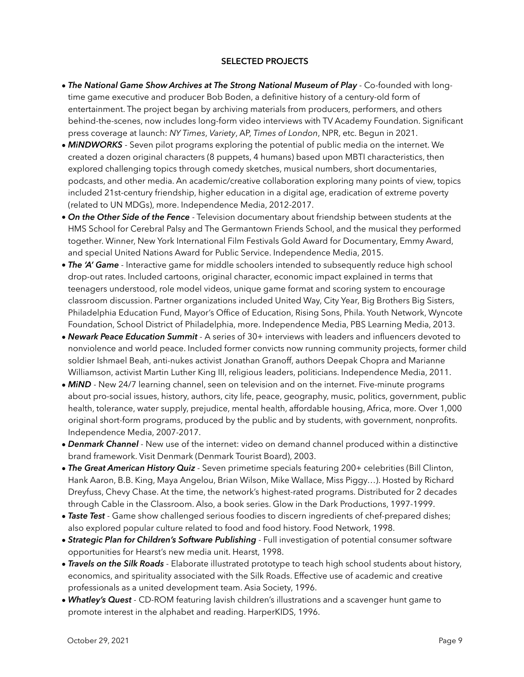## **SELECTED PROJECTS**

- *The National Game Show Archives at The Strong National Museum of Play* Co-founded with longtime game executive and producer Bob Boden, a definitive history of a century-old form of entertainment. The project began by archiving materials from producers, performers, and others behind-the-scenes, now includes long-form video interviews with TV Academy Foundation. Significant press coverage at launch: *NY Times*, *Variety*, AP, *Times of London*, NPR, etc. Begun in 2021.
- *MiNDWORKS* Seven pilot programs exploring the potential of public media on the internet. We created a dozen original characters (8 puppets, 4 humans) based upon MBTI characteristics, then explored challenging topics through comedy sketches, musical numbers, short documentaries, podcasts, and other media. An academic/creative collaboration exploring many points of view, topics included 21st-century friendship, higher education in a digital age, eradication of extreme poverty (related to UN MDGs), more. Independence Media, 2012-2017.
- *On the Other Side of the Fence* Television documentary about friendship between students at the HMS School for Cerebral Palsy and The Germantown Friends School, and the musical they performed together. Winner, New York International Film Festivals Gold Award for Documentary, Emmy Award, and special United Nations Award for Public Service. Independence Media, 2015.
- *The 'A' Game* Interactive game for middle schoolers intended to subsequently reduce high school drop-out rates. Included cartoons, original character, economic impact explained in terms that teenagers understood, role model videos, unique game format and scoring system to encourage classroom discussion. Partner organizations included United Way, City Year, Big Brothers Big Sisters, Philadelphia Education Fund, Mayor's Office of Education, Rising Sons, Phila. Youth Network, Wyncote Foundation, School District of Philadelphia, more. Independence Media, PBS Learning Media, 2013.
- *Newark Peace Education Summit* A series of 30+ interviews with leaders and influencers devoted to nonviolence and world peace. Included former convicts now running community projects, former child soldier Ishmael Beah, anti-nukes activist Jonathan Granoff, authors Deepak Chopra and Marianne Williamson, activist Martin Luther King III, religious leaders, politicians. Independence Media, 2011.
- *MiND* New 24/7 learning channel, seen on television and on the internet. Five-minute programs about pro-social issues, history, authors, city life, peace, geography, music, politics, government, public health, tolerance, water supply, prejudice, mental health, affordable housing, Africa, more. Over 1,000 original short-form programs, produced by the public and by students, with government, nonprofits. Independence Media, 2007-2017.
- *Denmark Channel* New use of the internet: video on demand channel produced within a distinctive brand framework. Visit Denmark (Denmark Tourist Board), 2003.
- *The Great American History Quiz -* Seven primetime specials featuring 200+ celebrities (Bill Clinton, Hank Aaron, B.B. King, Maya Angelou, Brian Wilson, Mike Wallace, Miss Piggy…). Hosted by Richard Dreyfuss, Chevy Chase. At the time, the network's highest-rated programs. Distributed for 2 decades through Cable in the Classroom. Also, a book series. Glow in the Dark Productions, 1997-1999.
- *Taste Test -* Game show challenged serious foodies to discern ingredients of chef-prepared dishes; also explored popular culture related to food and food history. Food Network, 1998.
- *Strategic Plan for Children's Software Publishing -* Full investigation of potential consumer software opportunities for Hearst's new media unit. Hearst, 1998.
- *Travels on the Silk Roads -* Elaborate illustrated prototype to teach high school students about history, economics, and spirituality associated with the Silk Roads. Effective use of academic and creative professionals as a united development team. Asia Society, 1996.
- *• Whatley's Quest -* CD-ROM featuring lavish children's illustrations and a scavenger hunt game to promote interest in the alphabet and reading. HarperKIDS, 1996.